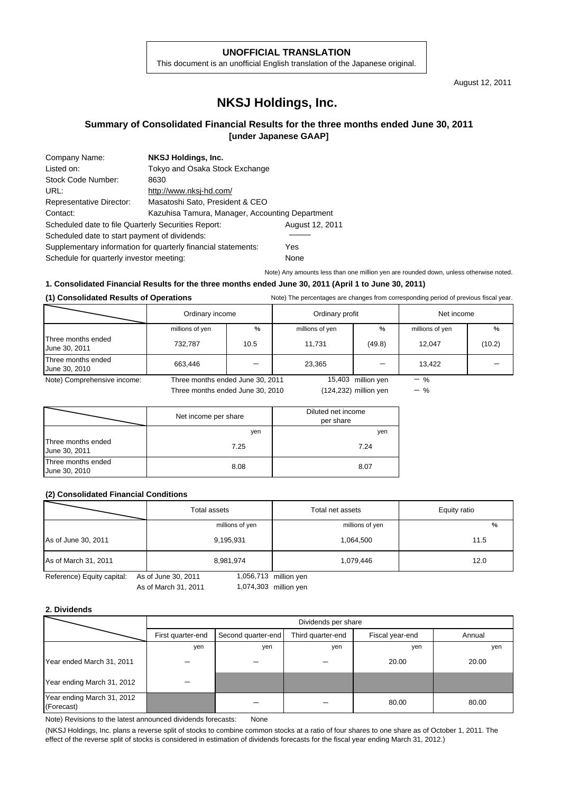#### **UNOFFICIAL TRANSLATION**

This document is an unofficial English translation of the Japanese original.

August 12, 2011

# **NKSJ Holdings, Inc.**

### **Summary of Consolidated Financial Results for the three months ended June 30, 2011 [under Japanese GAAP]**

| Company Name:                                                 | NKSJ Holdings, Inc.                             |                 |  |  |  |
|---------------------------------------------------------------|-------------------------------------------------|-----------------|--|--|--|
| Listed on:                                                    | Tokyo and Osaka Stock Exchange                  |                 |  |  |  |
| Stock Code Number:                                            | 8630                                            |                 |  |  |  |
| URL:                                                          | http://www.nksj-hd.com/                         |                 |  |  |  |
| Representative Director:                                      | Masatoshi Sato, President & CEO                 |                 |  |  |  |
| Contact:                                                      | Kazuhisa Tamura, Manager, Accounting Department |                 |  |  |  |
| Scheduled date to file Quarterly Securities Report:           |                                                 | August 12, 2011 |  |  |  |
| Scheduled date to start payment of dividends:                 |                                                 |                 |  |  |  |
| Supplementary information for quarterly financial statements: | Yes                                             |                 |  |  |  |
| Schedule for quarterly investor meeting:                      |                                                 | None            |  |  |  |

Note) Any amounts less than one million yen are rounded down, unless otherwise noted.

### **1. Consolidated Financial Results for the three months ended June 30, 2011 (April 1 to June 30, 2011)**

#### **(1) Consolidated Results of Operations** Note) The percentages are changes from corresponding period of previous fiscal year.

|                                     | Ordinary income |                                  | Ordinary profit |                       | Net income      |        |
|-------------------------------------|-----------------|----------------------------------|-----------------|-----------------------|-----------------|--------|
|                                     | millions of yen | %                                | millions of yen | $\%$                  | millions of yen | %      |
| Three months ended<br>June 30, 2011 | 732.787         | 10.5                             | 11.731          | (49.8)                | 12.047          | (10.2) |
| Three months ended<br>June 30, 2010 | 663.446         |                                  | 23,365          |                       | 13,422          |        |
| Note) Comprehensive income:         |                 | Three months ended June 30, 2011 |                 | 15,403 million yen    | $-$ %           |        |
|                                     |                 | Three months ended June 30, 2010 |                 | (124,232) million ven |                 |        |

|                                     | Net income per share | Diluted net income<br>per share |  |
|-------------------------------------|----------------------|---------------------------------|--|
|                                     | yen                  | yen                             |  |
| Three months ended<br>June 30, 2011 | 7.25                 | 7.24                            |  |
| Three months ended<br>June 30, 2010 | 8.08                 | 8.07                            |  |

#### **(2) Consolidated Financial Conditions**

|                            | Total assets                     | Total net assets | Equity ratio |  |
|----------------------------|----------------------------------|------------------|--------------|--|
|                            | millions of yen                  | millions of yen  | %            |  |
| As of June 30, 2011        | 9,195,931                        | 1,064,500        | 11.5         |  |
| As of March 31, 2011       | 8,981,974                        | 1,079,446        | 12.0         |  |
| Reference) Equity capital: | 1,056,713<br>As of June 30, 2011 | million ven      |              |  |

ıce) ⊨quity cap

As of March 31, 2011 1,074,303 million yen

### **2. Dividends**

|                                          | Dividends per share |                                                                      |     |       |       |  |  |  |  |
|------------------------------------------|---------------------|----------------------------------------------------------------------|-----|-------|-------|--|--|--|--|
|                                          | First quarter-end   | Third quarter-end<br>Second quarter-end<br>Annual<br>Fiscal year-end |     |       |       |  |  |  |  |
|                                          | yen                 | yen                                                                  | yen | yen   | yen   |  |  |  |  |
| Year ended March 31, 2011                |                     |                                                                      |     | 20.00 | 20.00 |  |  |  |  |
| Year ending March 31, 2012               |                     |                                                                      |     |       |       |  |  |  |  |
| Year ending March 31, 2012<br>(Forecast) |                     |                                                                      |     | 80.00 | 80.00 |  |  |  |  |

Note) Revisions to the latest announced dividends forecasts: None

(NKSJ Holdings, Inc. plans a reverse split of stocks to combine common stocks at a ratio of four shares to one share as of October 1, 2011. The effect of the reverse split of stocks is considered in estimation of dividends forecasts for the fiscal year ending March 31, 2012.)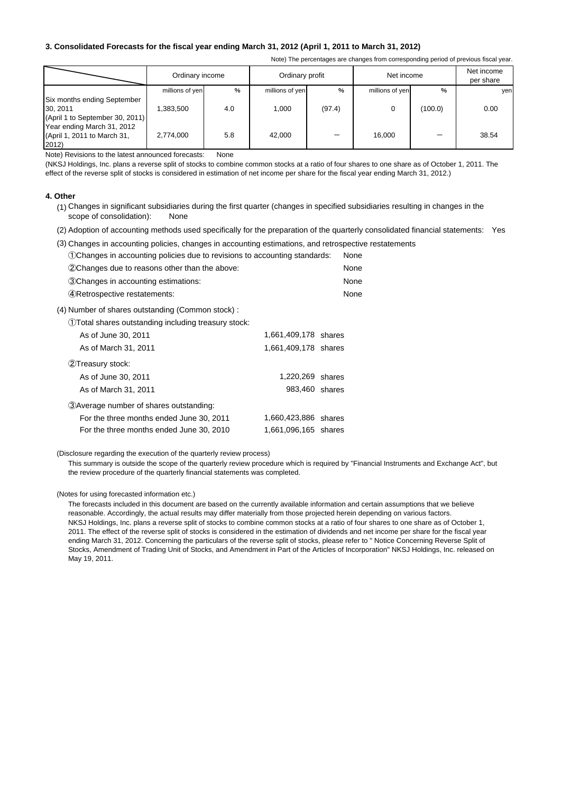### **3. Consolidated Forecasts for the fiscal year ending March 31, 2012 (April 1, 2011 to March 31, 2012)**

Note) The percentages are changes from corresponding period of previous fiscal year.

|                                                                            | Ordinary income |      | Ordinary profit |        | Net income      |         | Net income<br>per share |
|----------------------------------------------------------------------------|-----------------|------|-----------------|--------|-----------------|---------|-------------------------|
|                                                                            | millions of yen | $\%$ | millions of yen | %      | millions of yen | $\%$    | yen                     |
| Six months ending September<br>30, 2011<br>(April 1 to September 30, 2011) | .383.500        | 4.0  | 1.000           | (97.4) |                 | (100.0) | 0.00                    |
| Year ending March 31, 2012<br>(April 1, 2011 to March 31,<br>2012)         | 2,774,000       | 5.8  | 42,000          |        | 16.000          |         | 38.54                   |

Note) Revisions to the latest announced forecasts: None

(NKSJ Holdings, Inc. plans a reverse split of stocks to combine common stocks at a ratio of four shares to one share as of October 1, 2011. The effect of the reverse split of stocks is considered in estimation of net income per share for the fiscal year ending March 31, 2012.)

#### **4. Other**

- (1) Changes in significant subsidiaries during the first quarter (changes in specified subsidiaries resulting in changes in the scope of consolidation): None
- (2) Adoption of accounting methods used specifically for the preparation of the quarterly consolidated financial statements: Yes

|  |  |  |  |  |  |  | (3) Changes in accounting policies, changes in accounting estimations, and retrospective restatements |  |
|--|--|--|--|--|--|--|-------------------------------------------------------------------------------------------------------|--|
|--|--|--|--|--|--|--|-------------------------------------------------------------------------------------------------------|--|

| (1) Changes in accounting policies due to revisions to accounting standards: | None |
|------------------------------------------------------------------------------|------|
| (2) Changes due to reasons other than the above:                             | None |
| 30 Changes in accounting estimations:                                        | None |
| 4) Retrospective restatements:                                               | None |

(4) Number of shares outstanding (Common stock) :

| 1) Total shares outstanding including treasury stock: |                      |  |
|-------------------------------------------------------|----------------------|--|
| As of June 30, 2011                                   | 1,661,409,178 shares |  |
| As of March 31, 2011                                  | 1,661,409,178 shares |  |
| (2) Treasury stock:                                   |                      |  |
| As of June 30, 2011                                   | 1,220,269 shares     |  |
| As of March 31, 2011                                  | 983,460 shares       |  |
| (3) Average number of shares outstanding:             |                      |  |
| For the three months ended June 30, 2011              | 1,660,423,886 shares |  |
| For the three months ended June 30, 2010              | 1,661,096,165 shares |  |

#### (Disclosure regarding the execution of the quarterly review process)

This summary is outside the scope of the quarterly review procedure which is required by "Financial Instruments and Exchange Act", but the review procedure of the quarterly financial statements was completed.

(Notes for using forecasted information etc.)

NKSJ Holdings, Inc. plans a reverse split of stocks to combine common stocks at a ratio of four shares to one share as of October 1, 2011. The effect of the reverse split of stocks is considered in the estimation of dividends and net income per share for the fiscal year ending March 31, 2012. Concerning the particulars of the reverse split of stocks, please refer to " Notice Concerning Reverse Split of Stocks, Amendment of Trading Unit of Stocks, and Amendment in Part of the Articles of Incorporation" NKSJ Holdings, Inc. released on May 19, 2011. The forecasts included in this document are based on the currently available information and certain assumptions that we believe reasonable. Accordingly, the actual results may differ materially from those projected herein depending on various factors.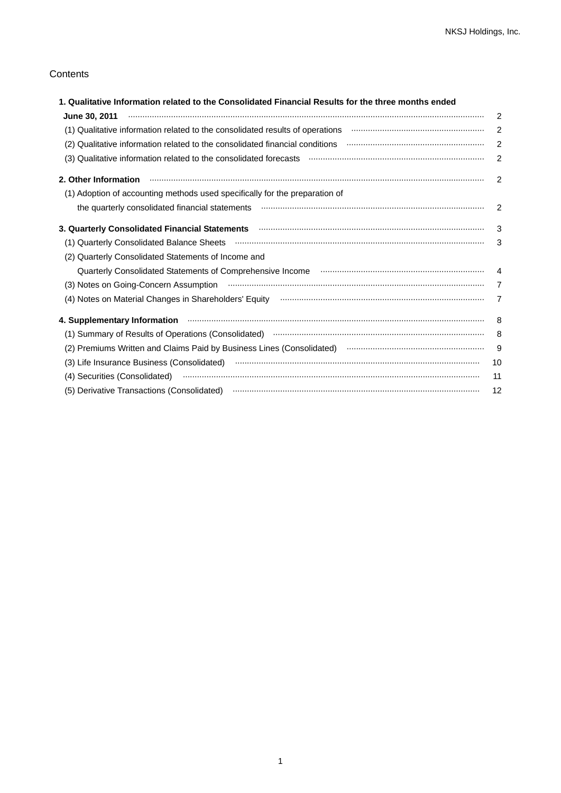## **Contents**

| 1. Qualitative Information related to the Consolidated Financial Results for the three months ended                                                                                                                                 |                            |
|-------------------------------------------------------------------------------------------------------------------------------------------------------------------------------------------------------------------------------------|----------------------------|
|                                                                                                                                                                                                                                     | $\overline{2}$             |
| (1) Qualitative information related to the consolidated results of operations manufacture information meta-                                                                                                                         | $\overline{2}$             |
|                                                                                                                                                                                                                                     | $\overline{2}$             |
|                                                                                                                                                                                                                                     | 2                          |
| 2. Other Information <b>continuum continuum continuum continuum continuum continuum continuum continuum continuum</b>                                                                                                               | -2                         |
| (1) Adoption of accounting methods used specifically for the preparation of                                                                                                                                                         |                            |
|                                                                                                                                                                                                                                     | $\overline{\phantom{0}}^2$ |
| 3. Quarterly Consolidated Financial Statements <b>manufacture of the Consolidated Statement</b> Statements and Consolidated Financial Statements and Consolidated Financial Statements and Consolidated Financial Statements and Co | -3                         |
|                                                                                                                                                                                                                                     | 3                          |
| (2) Quarterly Consolidated Statements of Income and                                                                                                                                                                                 |                            |
|                                                                                                                                                                                                                                     |                            |
|                                                                                                                                                                                                                                     | $\overline{7}$             |
|                                                                                                                                                                                                                                     | $\overline{7}$             |
| 4. Supplementary Information manufactured and contract the contract of the contract of the supplementary Information                                                                                                                | 8                          |
|                                                                                                                                                                                                                                     | -8                         |
| (2) Premiums Written and Claims Paid by Business Lines (Consolidated) manual content content content and claims                                                                                                                     | 9                          |
|                                                                                                                                                                                                                                     | 10                         |
|                                                                                                                                                                                                                                     | 11                         |
|                                                                                                                                                                                                                                     | 12                         |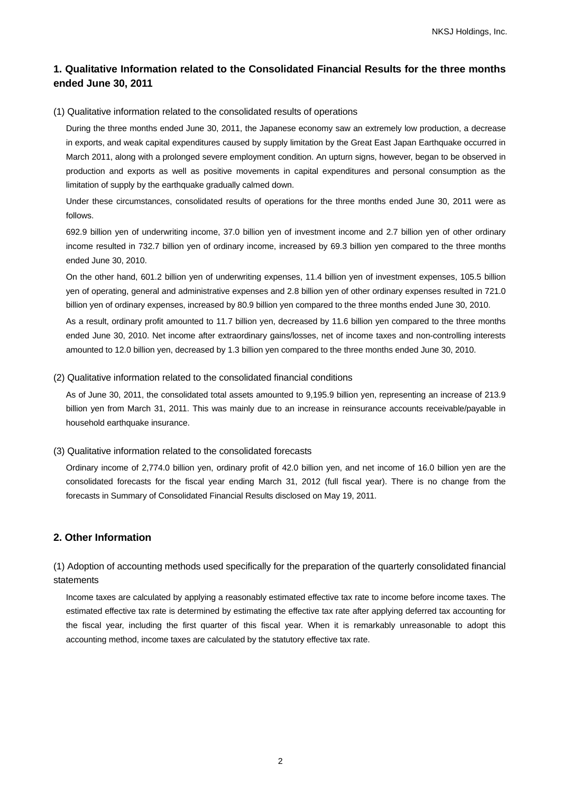## **1. Qualitative Information related to the Consolidated Financial Results for the three months ended June 30, 2011**

### (1) Qualitative information related to the consolidated results of operations

During the three months ended June 30, 2011, the Japanese economy saw an extremely low production, a decrease in exports, and weak capital expenditures caused by supply limitation by the Great East Japan Earthquake occurred in March 2011, along with a prolonged severe employment condition. An upturn signs, however, began to be observed in production and exports as well as positive movements in capital expenditures and personal consumption as the limitation of supply by the earthquake gradually calmed down.

Under these circumstances, consolidated results of operations for the three months ended June 30, 2011 were as follows.

692.9 billion yen of underwriting income, 37.0 billion yen of investment income and 2.7 billion yen of other ordinary income resulted in 732.7 billion yen of ordinary income, increased by 69.3 billion yen compared to the three months ended June 30, 2010.

On the other hand, 601.2 billion yen of underwriting expenses, 11.4 billion yen of investment expenses, 105.5 billion yen of operating, general and administrative expenses and 2.8 billion yen of other ordinary expenses resulted in 721.0 billion yen of ordinary expenses, increased by 80.9 billion yen compared to the three months ended June 30, 2010.

As a result, ordinary profit amounted to 11.7 billion yen, decreased by 11.6 billion yen compared to the three months ended June 30, 2010. Net income after extraordinary gains/losses, net of income taxes and non-controlling interests amounted to 12.0 billion yen, decreased by 1.3 billion yen compared to the three months ended June 30, 2010.

(2) Qualitative information related to the consolidated financial conditions

As of June 30, 2011, the consolidated total assets amounted to 9,195.9 billion yen, representing an increase of 213.9 billion yen from March 31, 2011. This was mainly due to an increase in reinsurance accounts receivable/payable in household earthquake insurance.

#### (3) Qualitative information related to the consolidated forecasts

Ordinary income of 2,774.0 billion yen, ordinary profit of 42.0 billion yen, and net income of 16.0 billion yen are the consolidated forecasts for the fiscal year ending March 31, 2012 (full fiscal year). There is no change from the forecasts in Summary of Consolidated Financial Results disclosed on May 19, 2011.

## **2. Other Information**

(1) Adoption of accounting methods used specifically for the preparation of the quarterly consolidated financial statements

Income taxes are calculated by applying a reasonably estimated effective tax rate to income before income taxes. The estimated effective tax rate is determined by estimating the effective tax rate after applying deferred tax accounting for the fiscal year, including the first quarter of this fiscal year. When it is remarkably unreasonable to adopt this accounting method, income taxes are calculated by the statutory effective tax rate.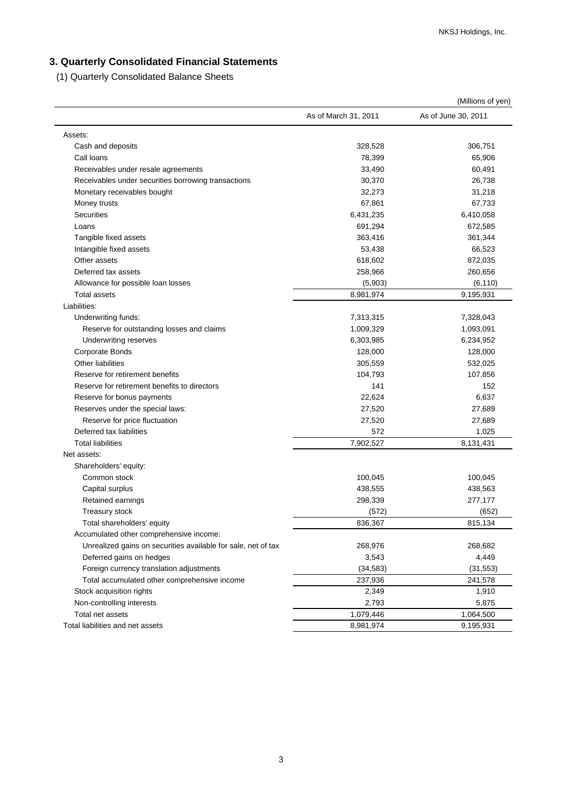# **3. Quarterly Consolidated Financial Statements**

(1) Quarterly Consolidated Balance Sheets

|                                                               |                      | (Millions of yen)   |
|---------------------------------------------------------------|----------------------|---------------------|
|                                                               | As of March 31, 2011 | As of June 30, 2011 |
| Assets:                                                       |                      |                     |
| Cash and deposits                                             | 328,528              | 306,751             |
| Call Ioans                                                    | 78,399               | 65,906              |
| Receivables under resale agreements                           | 33,490               | 60,491              |
| Receivables under securities borrowing transactions           | 30,370               | 26,738              |
| Monetary receivables bought                                   | 32,273               | 31,218              |
| Money trusts                                                  | 67,861               | 67,733              |
| <b>Securities</b>                                             | 6,431,235            | 6,410,058           |
| Loans                                                         | 691,294              | 672,585             |
| Tangible fixed assets                                         | 363,416              | 361,344             |
| Intangible fixed assets                                       | 53,438               | 66,523              |
| Other assets                                                  | 618,602              | 872,035             |
| Deferred tax assets                                           | 258,966              | 260,656             |
| Allowance for possible loan losses                            | (5,903)              | (6, 110)            |
| <b>Total assets</b>                                           | 8,981,974            | 9,195,931           |
| Liabilities:                                                  |                      |                     |
| Underwriting funds:                                           | 7,313,315            | 7,328,043           |
| Reserve for outstanding losses and claims                     | 1,009,329            | 1,093,091           |
| Underwriting reserves                                         | 6,303,985            | 6,234,952           |
| <b>Corporate Bonds</b>                                        | 128,000              | 128,000             |
| <b>Other liabilities</b>                                      | 305,559              | 532,025             |
| Reserve for retirement benefits                               | 104,793              | 107,856             |
| Reserve for retirement benefits to directors                  | 141                  | 152                 |
| Reserve for bonus payments                                    | 22,624               | 6,637               |
| Reserves under the special laws:                              | 27,520               | 27,689              |
| Reserve for price fluctuation                                 | 27,520               | 27,689              |
| Deferred tax liabilities                                      | 572                  | 1,025               |
| <b>Total liabilities</b>                                      | 7,902,527            | 8,131,431           |
| Net assets:                                                   |                      |                     |
| Shareholders' equity:                                         |                      |                     |
| Common stock                                                  | 100,045              | 100,045             |
| Capital surplus                                               | 438,555              | 438,563             |
| Retained earnings                                             | 298,339              | 277,177             |
| Treasury stock                                                | (572)                | (652)               |
| Total shareholders' equity                                    | 836,367              | 815,134             |
| Accumulated other comprehensive income:                       |                      |                     |
| Unrealized gains on securities available for sale, net of tax | 268,976              | 268,682             |
| Deferred gains on hedges                                      | 3,543                | 4,449               |
| Foreign currency translation adjustments                      | (34, 583)            | (31, 553)           |
| Total accumulated other comprehensive income                  | 237,936              | 241,578             |
| Stock acquisition rights                                      | 2,349                | 1,910               |
| Non-controlling interests                                     | 2,793                | 5,875               |
| Total net assets                                              | 1,079,446            | 1,064,500           |
| Total liabilities and net assets                              | 8,981,974            | 9,195,931           |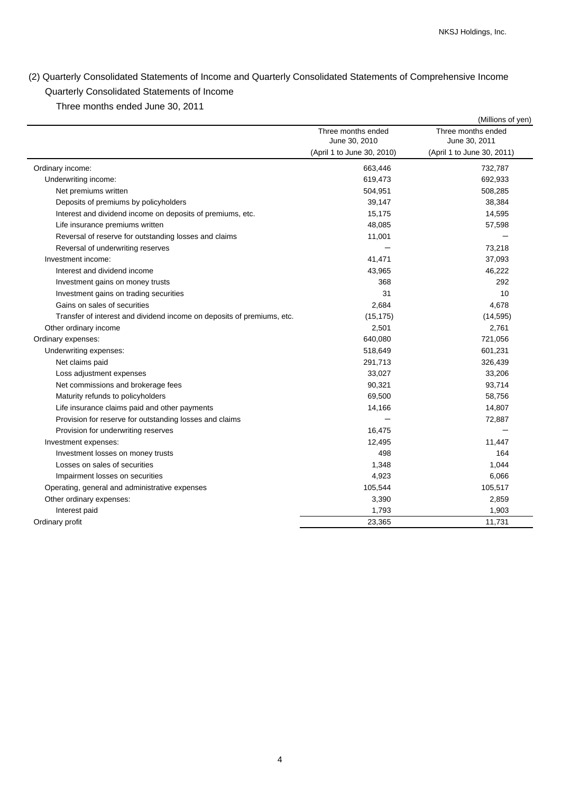# (2) Quarterly Consolidated Statements of Income and Quarterly Consolidated Statements of Comprehensive Income Quarterly Consolidated Statements of Income

Three months ended June 30, 2011

|                                                                        |                                     | (Millions of yen)                   |
|------------------------------------------------------------------------|-------------------------------------|-------------------------------------|
|                                                                        | Three months ended<br>June 30, 2010 | Three months ended<br>June 30, 2011 |
|                                                                        | (April 1 to June 30, 2010)          | (April 1 to June 30, 2011)          |
| Ordinary income:                                                       | 663,446                             | 732,787                             |
| Underwriting income:                                                   | 619,473                             | 692,933                             |
| Net premiums written                                                   | 504,951                             | 508,285                             |
| Deposits of premiums by policyholders                                  | 39,147                              | 38,384                              |
| Interest and dividend income on deposits of premiums, etc.             | 15,175                              | 14,595                              |
| Life insurance premiums written                                        | 48,085                              | 57,598                              |
| Reversal of reserve for outstanding losses and claims                  | 11,001                              |                                     |
| Reversal of underwriting reserves                                      |                                     | 73,218                              |
| Investment income:                                                     | 41,471                              | 37,093                              |
| Interest and dividend income                                           | 43,965                              | 46,222                              |
| Investment gains on money trusts                                       | 368                                 | 292                                 |
| Investment gains on trading securities                                 | 31                                  | 10                                  |
| Gains on sales of securities                                           | 2,684                               | 4,678                               |
| Transfer of interest and dividend income on deposits of premiums, etc. | (15, 175)                           | (14, 595)                           |
| Other ordinary income                                                  | 2,501                               | 2,761                               |
| Ordinary expenses:                                                     | 640,080                             | 721,056                             |
| Underwriting expenses:                                                 | 518,649                             | 601,231                             |
| Net claims paid                                                        | 291,713                             | 326,439                             |
| Loss adjustment expenses                                               | 33,027                              | 33,206                              |
| Net commissions and brokerage fees                                     | 90,321                              | 93,714                              |
| Maturity refunds to policyholders                                      | 69,500                              | 58,756                              |
| Life insurance claims paid and other payments                          | 14,166                              | 14,807                              |
| Provision for reserve for outstanding losses and claims                |                                     | 72,887                              |
| Provision for underwriting reserves                                    | 16,475                              |                                     |
| Investment expenses:                                                   | 12,495                              | 11,447                              |
| Investment losses on money trusts                                      | 498                                 | 164                                 |
| Losses on sales of securities                                          | 1,348                               | 1,044                               |
| Impairment losses on securities                                        | 4,923                               | 6,066                               |
| Operating, general and administrative expenses                         | 105,544                             | 105,517                             |
| Other ordinary expenses:                                               | 3,390                               | 2,859                               |
| Interest paid                                                          | 1,793                               | 1,903                               |
| Ordinary profit                                                        | 23,365                              | 11,731                              |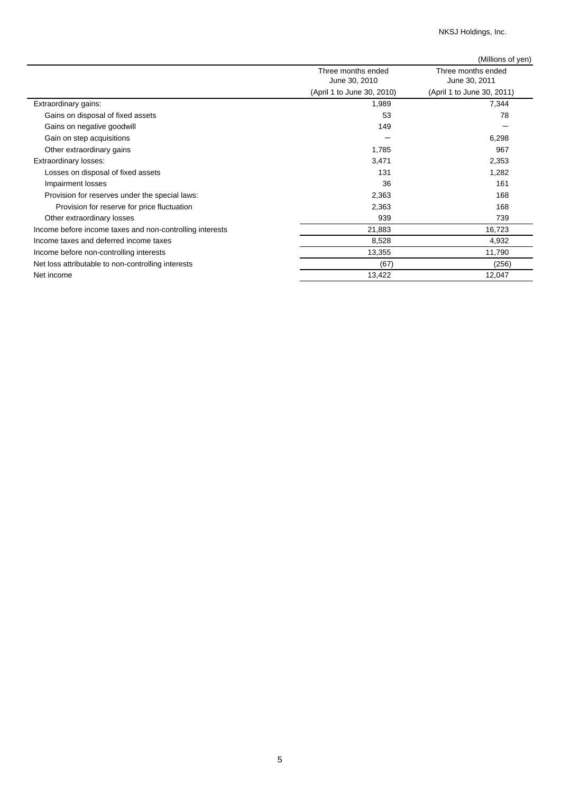NKSJ Holdings, Inc.

|                                                          |                                     | (Millions of yen)                   |
|----------------------------------------------------------|-------------------------------------|-------------------------------------|
|                                                          | Three months ended<br>June 30, 2010 | Three months ended<br>June 30, 2011 |
|                                                          | (April 1 to June 30, 2010)          | (April 1 to June 30, 2011)          |
| Extraordinary gains:                                     | 1,989                               | 7,344                               |
| Gains on disposal of fixed assets                        | 53                                  | 78                                  |
| Gains on negative goodwill                               | 149                                 |                                     |
| Gain on step acquisitions                                |                                     | 6,298                               |
| Other extraordinary gains                                | 1,785                               | 967                                 |
| Extraordinary losses:                                    | 3,471                               | 2,353                               |
| Losses on disposal of fixed assets                       | 131                                 | 1,282                               |
| Impairment losses                                        | 36                                  | 161                                 |
| Provision for reserves under the special laws:           | 2,363                               | 168                                 |
| Provision for reserve for price fluctuation              | 2,363                               | 168                                 |
| Other extraordinary losses                               | 939                                 | 739                                 |
| Income before income taxes and non-controlling interests | 21,883                              | 16,723                              |
| Income taxes and deferred income taxes                   | 8,528                               | 4,932                               |
| Income before non-controlling interests                  | 13,355                              | 11,790                              |
| Net loss attributable to non-controlling interests       | (67)                                | (256)                               |
| Net income                                               | 13,422                              | 12,047                              |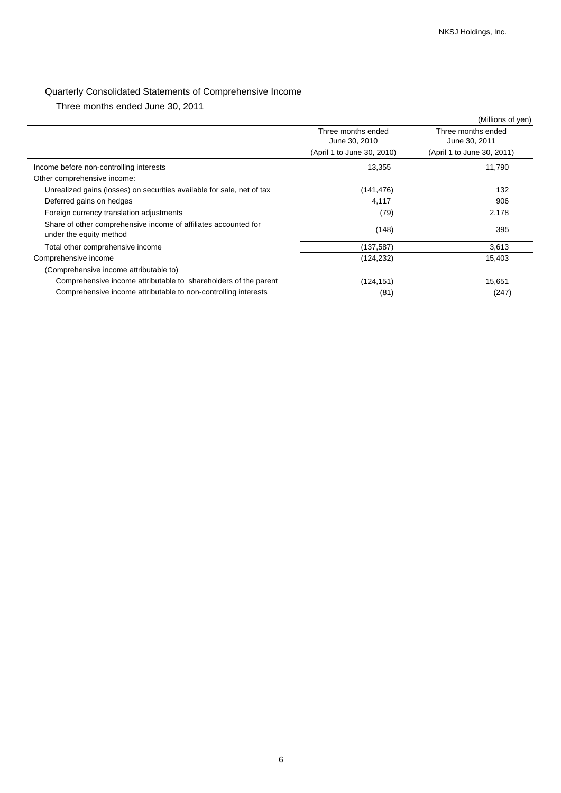# Quarterly Consolidated Statements of Comprehensive Income

Three months ended June 30, 2011

|                                                                                            |                                     | (Millions of yen)                   |
|--------------------------------------------------------------------------------------------|-------------------------------------|-------------------------------------|
|                                                                                            | Three months ended<br>June 30, 2010 | Three months ended<br>June 30, 2011 |
|                                                                                            | (April 1 to June 30, 2010)          | (April 1 to June 30, 2011)          |
| Income before non-controlling interests                                                    | 13,355                              | 11,790                              |
| Other comprehensive income:                                                                |                                     |                                     |
| Unrealized gains (losses) on securities available for sale, net of tax                     | (141, 476)                          | 132                                 |
| Deferred gains on hedges                                                                   | 4,117                               | 906                                 |
| Foreign currency translation adjustments                                                   | (79)                                | 2,178                               |
| Share of other comprehensive income of affiliates accounted for<br>under the equity method | (148)                               | 395                                 |
| Total other comprehensive income                                                           | (137,587)                           | 3,613                               |
| Comprehensive income                                                                       | (124, 232)                          | 15,403                              |
| (Comprehensive income attributable to)                                                     |                                     |                                     |
| Comprehensive income attributable to shareholders of the parent                            | (124, 151)                          | 15,651                              |
| Comprehensive income attributable to non-controlling interests                             | (81)                                | (247)                               |
|                                                                                            |                                     |                                     |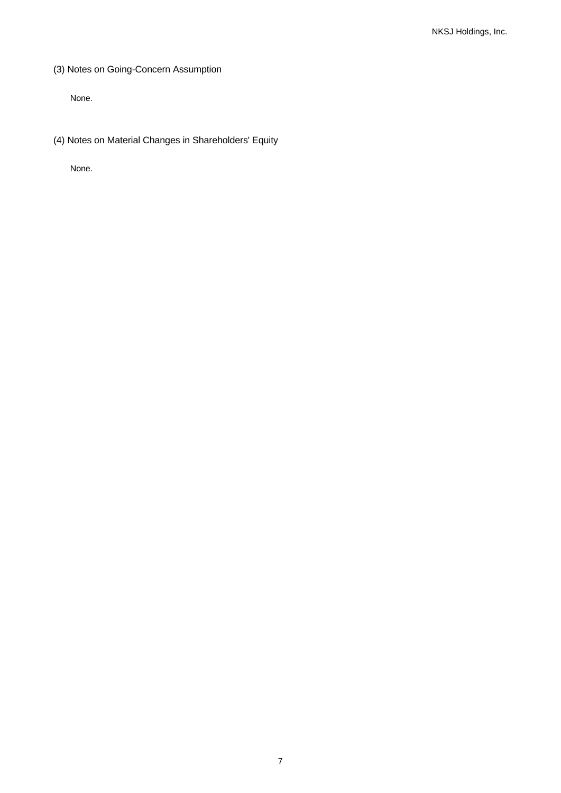(3) Notes on Going-Concern Assumption

None.

(4) Notes on Material Changes in Shareholders' Equity

None.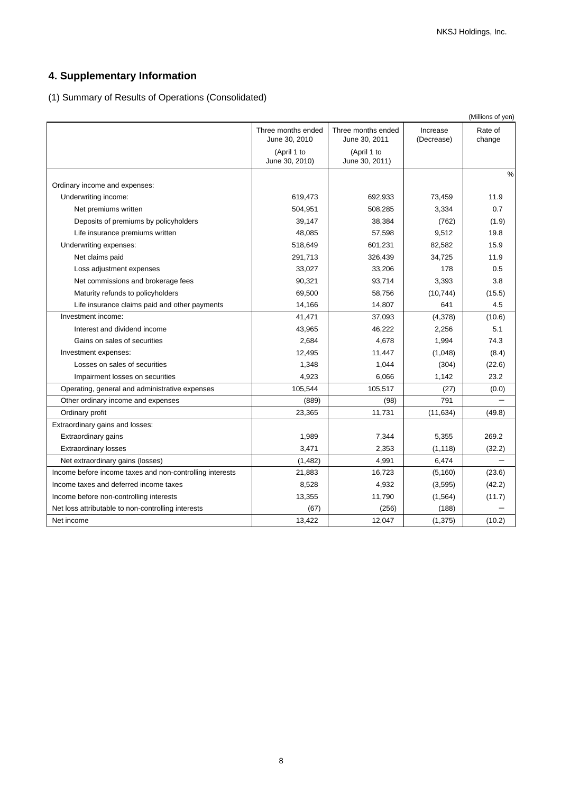# **4. Supplementary Information**

(1) Summary of Results of Operations (Consolidated)

|                                                          |                                     |                                     |                        | (Millions of yen) |
|----------------------------------------------------------|-------------------------------------|-------------------------------------|------------------------|-------------------|
|                                                          | Three months ended<br>June 30, 2010 | Three months ended<br>June 30, 2011 | Increase<br>(Decrease) | Rate of<br>change |
|                                                          | (April 1 to<br>June 30, 2010)       | (April 1 to<br>June 30, 2011)       |                        |                   |
|                                                          |                                     |                                     |                        | $\frac{0}{0}$     |
| Ordinary income and expenses:                            |                                     |                                     |                        |                   |
| Underwriting income:                                     | 619,473                             | 692,933                             | 73,459                 | 11.9              |
| Net premiums written                                     | 504,951                             | 508,285                             | 3,334                  | 0.7               |
| Deposits of premiums by policyholders                    | 39,147                              | 38,384                              | (762)                  | (1.9)             |
| Life insurance premiums written                          | 48,085                              | 57,598                              | 9,512                  | 19.8              |
| Underwriting expenses:                                   | 518,649                             | 601,231                             | 82,582                 | 15.9              |
| Net claims paid                                          | 291,713                             | 326,439                             | 34,725                 | 11.9              |
| Loss adjustment expenses                                 | 33,027                              | 33,206                              | 178                    | 0.5               |
| Net commissions and brokerage fees                       | 90,321                              | 93,714                              | 3,393                  | 3.8               |
| Maturity refunds to policyholders                        | 69,500                              | 58,756                              | (10, 744)              | (15.5)            |
| Life insurance claims paid and other payments            | 14,166                              | 14,807                              | 641                    | 4.5               |
| Investment income:                                       | 41,471                              | 37,093                              | (4,378)                | (10.6)            |
| Interest and dividend income                             | 43,965                              | 46,222                              | 2,256                  | 5.1               |
| Gains on sales of securities                             | 2,684                               | 4,678                               | 1,994                  | 74.3              |
| Investment expenses:                                     | 12,495                              | 11,447                              | (1,048)                | (8.4)             |
| Losses on sales of securities                            | 1,348                               | 1,044                               | (304)                  | (22.6)            |
| Impairment losses on securities                          | 4,923                               | 6,066                               | 1,142                  | 23.2              |
| Operating, general and administrative expenses           | 105,544                             | 105,517                             | (27)                   | (0.0)             |
| Other ordinary income and expenses                       | (889)                               | (98)                                | 791                    |                   |
| Ordinary profit                                          | 23,365                              | 11,731                              | (11, 634)              | (49.8)            |
| Extraordinary gains and losses:                          |                                     |                                     |                        |                   |
| <b>Extraordinary gains</b>                               | 1,989                               | 7,344                               | 5,355                  | 269.2             |
| <b>Extraordinary losses</b>                              | 3,471                               | 2,353                               | (1, 118)               | (32.2)            |
| Net extraordinary gains (losses)                         | (1, 482)                            | 4,991                               | 6,474                  |                   |
| Income before income taxes and non-controlling interests | 21,883                              | 16,723                              | (5, 160)               | (23.6)            |
| Income taxes and deferred income taxes                   | 8,528                               | 4,932                               | (3,595)                | (42.2)            |
| Income before non-controlling interests                  | 13,355                              | 11,790                              | (1, 564)               | (11.7)            |
| Net loss attributable to non-controlling interests       | (67)                                | (256)                               | (188)                  |                   |
| Net income                                               | 13,422                              | 12,047                              | (1, 375)               | (10.2)            |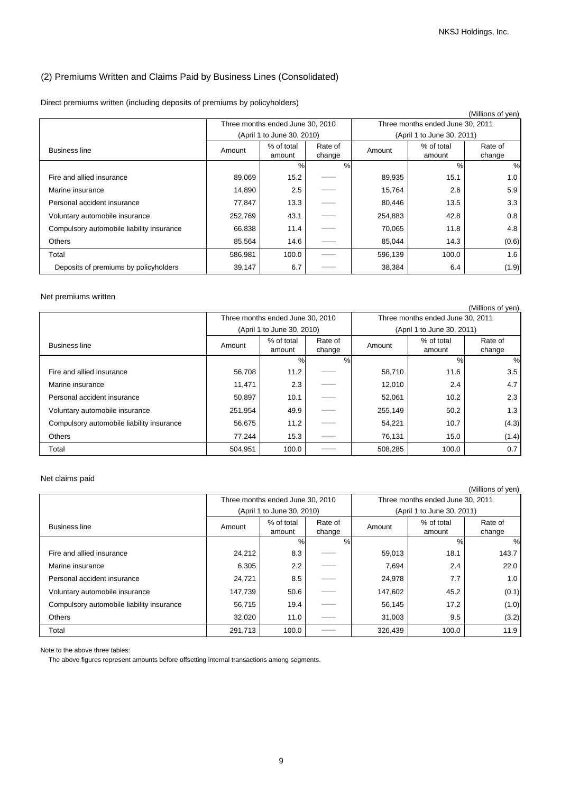## (2) Premiums Written and Claims Paid by Business Lines (Consolidated)

| Direct premiums written (including deposits of premiums by policyholders) |  |  |  |
|---------------------------------------------------------------------------|--|--|--|
|---------------------------------------------------------------------------|--|--|--|

|                                           |         |                                  |                   |         |                                  | (Millions of yen) |
|-------------------------------------------|---------|----------------------------------|-------------------|---------|----------------------------------|-------------------|
|                                           |         | Three months ended June 30, 2010 |                   |         | Three months ended June 30, 2011 |                   |
|                                           |         | (April 1 to June 30, 2010)       |                   |         | (April 1 to June 30, 2011)       |                   |
| <b>Business line</b>                      | Amount  | % of total<br>amount             | Rate of<br>change | Amount  | % of total<br>amount             | Rate of<br>change |
|                                           |         | $\%$                             | $\frac{0}{0}$     |         | $\%$                             | %                 |
| Fire and allied insurance                 | 89,069  | 15.2                             |                   | 89,935  | 15.1                             | 1.0               |
| Marine insurance                          | 14,890  | 2.5                              |                   | 15,764  | 2.6                              | 5.9               |
| Personal accident insurance               | 77,847  | 13.3                             |                   | 80,446  | 13.5                             | 3.3               |
| Voluntary automobile insurance            | 252,769 | 43.1                             |                   | 254,883 | 42.8                             | 0.8               |
| Compulsory automobile liability insurance | 66,838  | 11.4                             |                   | 70,065  | 11.8                             | 4.8               |
| <b>Others</b>                             | 85,564  | 14.6                             |                   | 85,044  | 14.3                             | (0.6)             |
| Total                                     | 586,981 | 100.0                            |                   | 596,139 | 100.0                            | 1.6               |
| Deposits of premiums by policyholders     | 39,147  | 6.7                              |                   | 38,384  | 6.4                              | (1.9)             |

### Net premiums written

|                                           |         |                                  |         |                                  |                            | (Millions of yen) |
|-------------------------------------------|---------|----------------------------------|---------|----------------------------------|----------------------------|-------------------|
|                                           |         | Three months ended June 30, 2010 |         | Three months ended June 30, 2011 |                            |                   |
|                                           |         | (April 1 to June 30, 2010)       |         |                                  | (April 1 to June 30, 2011) |                   |
| <b>Business line</b>                      | Amount  | % of total                       | Rate of | Amount                           | % of total                 | Rate of           |
|                                           |         | amount                           | change  |                                  | amount                     | change            |
|                                           |         | %                                | $\%$    |                                  | $\%$                       | %                 |
| Fire and allied insurance                 | 56,708  | 11.2                             |         | 58,710                           | 11.6                       | 3.5               |
| Marine insurance                          | 11,471  | 2.3                              |         | 12,010                           | 2.4                        | 4.7               |
| Personal accident insurance               | 50,897  | 10.1                             |         | 52,061                           | 10.2                       | 2.3               |
| Voluntary automobile insurance            | 251,954 | 49.9                             |         | 255,149                          | 50.2                       | 1.3               |
| Compulsory automobile liability insurance | 56,675  | 11.2                             |         | 54,221                           | 10.7                       | (4.3)             |
| Others                                    | 77.244  | 15.3                             |         | 76,131                           | 15.0                       | (1.4)             |
| Total                                     | 504,951 | 100.0                            |         | 508,285                          | 100.0                      | 0.7               |

### Net claims paid

|                                           |         |                                  |                   |         |                                  | (Millions of yen) |
|-------------------------------------------|---------|----------------------------------|-------------------|---------|----------------------------------|-------------------|
|                                           |         | Three months ended June 30, 2010 |                   |         | Three months ended June 30, 2011 |                   |
|                                           |         | (April 1 to June 30, 2010)       |                   |         | (April 1 to June 30, 2011)       |                   |
| <b>Business line</b>                      | Amount  | % of total<br>amount             | Rate of<br>change | Amount  | % of total<br>amount             | Rate of<br>change |
|                                           |         | $\%$                             | %                 |         | %                                | %                 |
| Fire and allied insurance                 | 24,212  | 8.3                              |                   | 59,013  | 18.1                             | 143.7             |
| Marine insurance                          | 6,305   | 2.2                              |                   | 7,694   | 2.4                              | 22.0              |
| Personal accident insurance               | 24,721  | 8.5                              |                   | 24,978  | 7.7                              | 1.0               |
| Voluntary automobile insurance            | 147,739 | 50.6                             |                   | 147,602 | 45.2                             | (0.1)             |
| Compulsory automobile liability insurance | 56,715  | 19.4                             |                   | 56,145  | 17.2                             | (1.0)             |
| Others                                    | 32,020  | 11.0                             |                   | 31,003  | 9.5                              | (3.2)             |
| Total                                     | 291,713 | 100.0                            |                   | 326,439 | 100.0                            | 11.9              |

Note to the above three tables:

The above figures represent amounts before offsetting internal transactions among segments.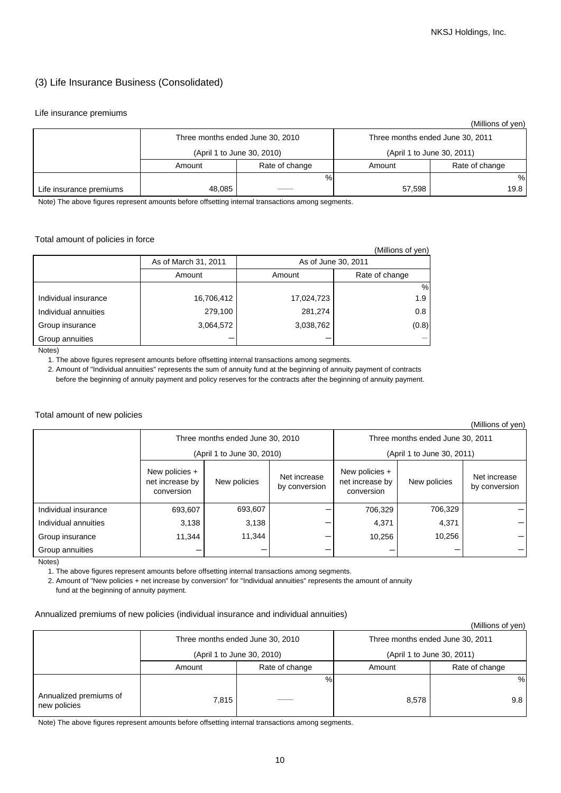## (3) Life Insurance Business (Consolidated)

### Life insurance premiums

|                         |        |                                  |                                  | (Millions of yen) |  |
|-------------------------|--------|----------------------------------|----------------------------------|-------------------|--|
|                         |        | Three months ended June 30, 2010 | Three months ended June 30, 2011 |                   |  |
|                         |        | (April 1 to June 30, 2010)       | (April 1 to June 30, 2011)       |                   |  |
|                         | Amount | Rate of change                   | Amount                           | Rate of change    |  |
|                         |        | %                                |                                  | %                 |  |
| Life insurance premiums | 48,085 |                                  | 57,598                           | 19.8              |  |

Note) The above figures represent amounts before offsetting internal transactions among segments.

### Total amount of policies in force

|                      |                      |                          | (Millions of yen) |
|----------------------|----------------------|--------------------------|-------------------|
|                      | As of March 31, 2011 | As of June 30, 2011      |                   |
|                      | Amount               | Rate of change<br>Amount |                   |
|                      |                      |                          | %                 |
| Individual insurance | 16,706,412           | 17,024,723               | 1.9               |
| Individual annuities | 279,100              | 281,274                  | 0.8               |
| Group insurance      | 3,064,572            | 3,038,762                | (0.8)             |
| Group annuities      |                      |                          |                   |

Notes)

1. The above figures represent amounts before offsetting internal transactions among segments.

 2. Amount of "Individual annuities" represents the sum of annuity fund at the beginning of annuity payment of contracts before the beginning of annuity payment and policy reserves for the contracts after the beginning of annuity payment.

### Total amount of new policies

(Millions of yen)

| וייט טויטווייייי     |                                                                |              |                               |                                                                |              |                               |
|----------------------|----------------------------------------------------------------|--------------|-------------------------------|----------------------------------------------------------------|--------------|-------------------------------|
|                      | Three months ended June 30, 2010<br>(April 1 to June 30, 2010) |              |                               | Three months ended June 30, 2011<br>(April 1 to June 30, 2011) |              |                               |
|                      | New policies +<br>net increase by<br>conversion                | New policies | Net increase<br>by conversion | New policies +<br>net increase by<br>conversion                | New policies | Net increase<br>by conversion |
| Individual insurance | 693,607                                                        | 693,607      |                               | 706,329                                                        | 706,329      |                               |
| Individual annuities | 3,138                                                          | 3,138        |                               | 4,371                                                          | 4,371        |                               |
| Group insurance      | 11,344                                                         | 11,344       |                               | 10,256                                                         | 10,256       |                               |
| Group annuities      |                                                                |              |                               |                                                                |              |                               |

Notes)

1. The above figures represent amounts before offsetting internal transactions among segments.

2. Amount of "New policies + net increase by conversion" for "Individual annuities" represents the amount of annuity

fund at the beginning of annuity payment.

### Annualized premiums of new policies (individual insurance and individual annuities)

## (Millions of yen)

|                                        |        | Three months ended June 30, 2010 | Three months ended June 30, 2011 |                            |  |  |
|----------------------------------------|--------|----------------------------------|----------------------------------|----------------------------|--|--|
|                                        |        | (April 1 to June 30, 2010)       |                                  | (April 1 to June 30, 2011) |  |  |
|                                        | Amount | Rate of change                   |                                  | Rate of change             |  |  |
|                                        |        | %                                |                                  | %                          |  |  |
| Annualized premiums of<br>new policies | 7.815  |                                  | 8,578                            | 9.8                        |  |  |

Note) The above figures represent amounts before offsetting internal transactions among segments.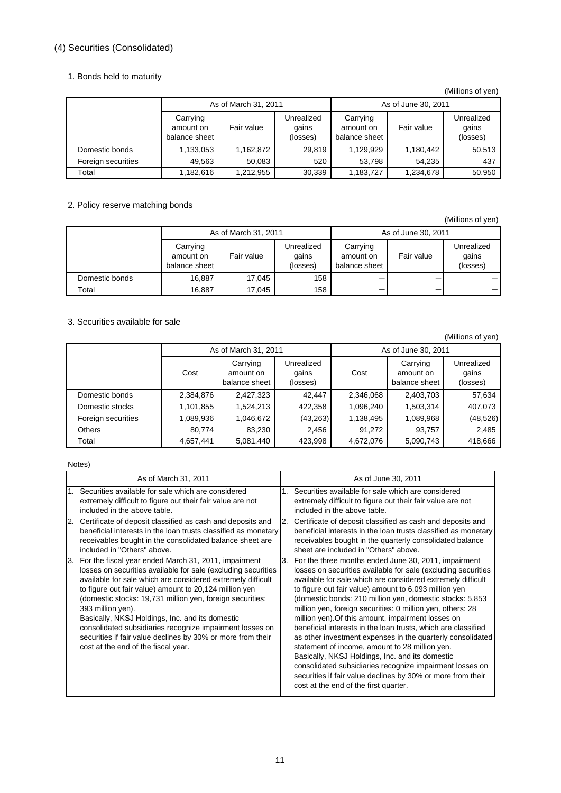# (4) Securities (Consolidated)

### 1. Bonds held to maturity

### (Millions of yen)

|                    | As of March 31, 2011                   |            |                                 | As of June 30, 2011                    |            |                                 |  |
|--------------------|----------------------------------------|------------|---------------------------------|----------------------------------------|------------|---------------------------------|--|
|                    | Carrying<br>amount on<br>balance sheet | Fair value | Unrealized<br>qains<br>(losses) | Carrying<br>amount on<br>balance sheet | Fair value | Unrealized<br>qains<br>(losses) |  |
| Domestic bonds     | 1,133,053                              | 1,162,872  | 29.819                          | 1,129,929                              | 1,180,442  | 50,513                          |  |
| Foreign securities | 49,563                                 | 50.083     | 520                             | 53.798                                 | 54.235     | 437                             |  |
| Total              | 1,182,616                              | 1,212,955  | 30,339                          | 1,183,727                              | 1,234,678  | 50,950                          |  |

## 2. Policy reserve matching bonds

(Millions of yen)

|                | As of March 31, 2011                   |            |                                 | As of June 30, 2011                    |            |                                 |  |
|----------------|----------------------------------------|------------|---------------------------------|----------------------------------------|------------|---------------------------------|--|
|                | Carrying<br>amount on<br>balance sheet | Fair value | Unrealized<br>gains<br>(losses) | Carrying<br>amount on<br>balance sheet | Fair value | Unrealized<br>gains<br>(losses) |  |
| Domestic bonds | 16,887                                 | 17.045     | 158                             |                                        |            |                                 |  |
| Total          | 16,887                                 | 17.045     | 158                             |                                        |            |                                 |  |

## 3. Securities available for sale

(Millions of yen)

|                    | As of March 31, 2011 |                                        |                                 | As of June 30, 2011 |                                        |                                 |  |
|--------------------|----------------------|----------------------------------------|---------------------------------|---------------------|----------------------------------------|---------------------------------|--|
|                    | Cost                 | Carrying<br>amount on<br>balance sheet | Unrealized<br>gains<br>(losses) | Cost                | Carrying<br>amount on<br>balance sheet | Unrealized<br>qains<br>(losses) |  |
| Domestic bonds     | 2,384,876            | 2,427,323                              | 42.447                          | 2,346,068           | 2,403,703                              | 57,634                          |  |
| Domestic stocks    | 1,101,855            | 1,524,213                              | 422,358                         | 1,096,240           | 1,503,314                              | 407,073                         |  |
| Foreign securities | 1,089,936            | 1,046,672                              | (43, 263)                       | 1,138,495           | 1,089,968                              | (48, 526)                       |  |
| <b>Others</b>      | 80.774               | 83.230                                 | 2,456                           | 91.272              | 93,757                                 | 2,485                           |  |
| Total              | 4,657,441            | 5,081,440                              | 423,998                         | 4,672,076           | 5,090,743                              | 418,666                         |  |

### Notes)

| As of March 31, 2011                                                                                                                                                                                                                                                                                                                                                                                                                                                                                                                                        | As of June 30, 2011                                                                                                                                                                                                                                                                                                                                                                                                                                                                                                                                                                                                                                                                                                                                                                                                                         |  |  |
|-------------------------------------------------------------------------------------------------------------------------------------------------------------------------------------------------------------------------------------------------------------------------------------------------------------------------------------------------------------------------------------------------------------------------------------------------------------------------------------------------------------------------------------------------------------|---------------------------------------------------------------------------------------------------------------------------------------------------------------------------------------------------------------------------------------------------------------------------------------------------------------------------------------------------------------------------------------------------------------------------------------------------------------------------------------------------------------------------------------------------------------------------------------------------------------------------------------------------------------------------------------------------------------------------------------------------------------------------------------------------------------------------------------------|--|--|
| 1. Securities available for sale which are considered                                                                                                                                                                                                                                                                                                                                                                                                                                                                                                       | Securities available for sale which are considered                                                                                                                                                                                                                                                                                                                                                                                                                                                                                                                                                                                                                                                                                                                                                                                          |  |  |
| extremely difficult to figure out their fair value are not                                                                                                                                                                                                                                                                                                                                                                                                                                                                                                  | extremely difficult to figure out their fair value are not                                                                                                                                                                                                                                                                                                                                                                                                                                                                                                                                                                                                                                                                                                                                                                                  |  |  |
| included in the above table.                                                                                                                                                                                                                                                                                                                                                                                                                                                                                                                                | included in the above table.                                                                                                                                                                                                                                                                                                                                                                                                                                                                                                                                                                                                                                                                                                                                                                                                                |  |  |
| Certificate of deposit classified as cash and deposits and                                                                                                                                                                                                                                                                                                                                                                                                                                                                                                  | Certificate of deposit classified as cash and deposits and                                                                                                                                                                                                                                                                                                                                                                                                                                                                                                                                                                                                                                                                                                                                                                                  |  |  |
| 2.                                                                                                                                                                                                                                                                                                                                                                                                                                                                                                                                                          | 2.                                                                                                                                                                                                                                                                                                                                                                                                                                                                                                                                                                                                                                                                                                                                                                                                                                          |  |  |
| beneficial interests in the loan trusts classified as monetary                                                                                                                                                                                                                                                                                                                                                                                                                                                                                              | beneficial interests in the loan trusts classified as monetary                                                                                                                                                                                                                                                                                                                                                                                                                                                                                                                                                                                                                                                                                                                                                                              |  |  |
| receivables bought in the consolidated balance sheet are                                                                                                                                                                                                                                                                                                                                                                                                                                                                                                    | receivables bought in the quarterly consolidated balance                                                                                                                                                                                                                                                                                                                                                                                                                                                                                                                                                                                                                                                                                                                                                                                    |  |  |
| included in "Others" above.                                                                                                                                                                                                                                                                                                                                                                                                                                                                                                                                 | sheet are included in "Others" above.                                                                                                                                                                                                                                                                                                                                                                                                                                                                                                                                                                                                                                                                                                                                                                                                       |  |  |
| For the fiscal year ended March 31, 2011, impairment<br>3.<br>losses on securities available for sale (excluding securities<br>available for sale which are considered extremely difficult<br>to figure out fair value) amount to 20,124 million yen<br>(domestic stocks: 19,731 million yen, foreign securities:<br>393 million yen).<br>Basically, NKSJ Holdings, Inc. and its domestic<br>consolidated subsidiaries recognize impairment losses on<br>securities if fair value declines by 30% or more from their<br>cost at the end of the fiscal year. | For the three months ended June 30, 2011, impairment<br>З.<br>losses on securities available for sale (excluding securities<br>available for sale which are considered extremely difficult<br>to figure out fair value) amount to 6,093 million yen<br>(domestic bonds: 210 million yen, domestic stocks: 5,853<br>million yen, foreign securities: 0 million yen, others: 28<br>million yen). Of this amount, impairment losses on<br>beneficial interests in the loan trusts, which are classified<br>as other investment expenses in the quarterly consolidated<br>statement of income, amount to 28 million yen.<br>Basically, NKSJ Holdings, Inc. and its domestic<br>consolidated subsidiaries recognize impairment losses on<br>securities if fair value declines by 30% or more from their<br>cost at the end of the first quarter. |  |  |